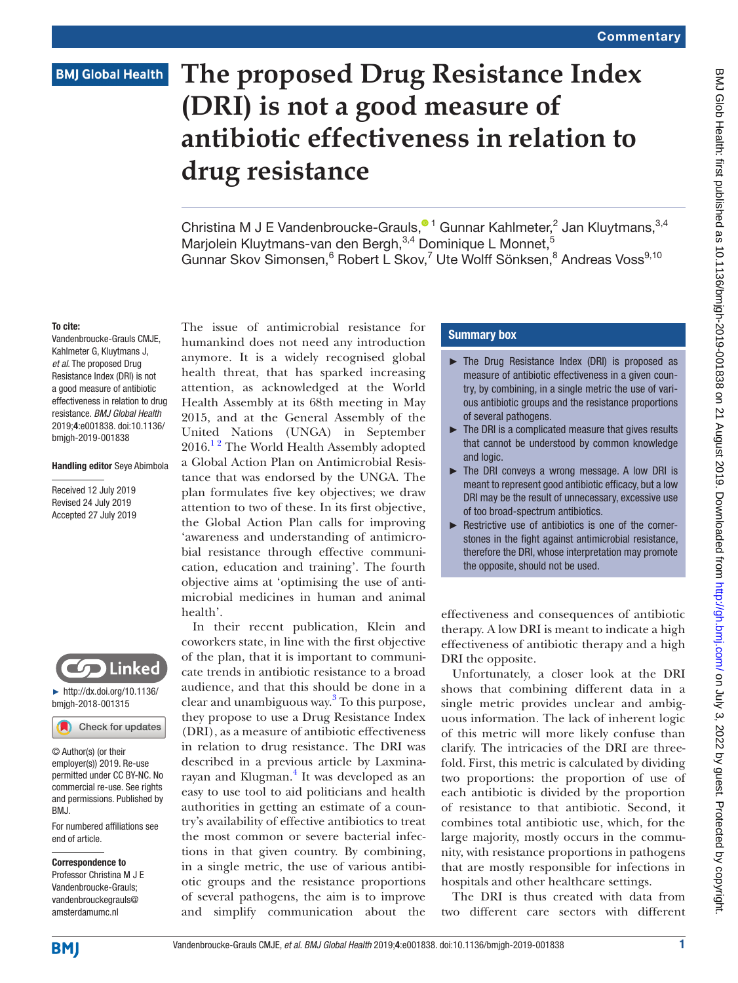# **BMJ Global Health**

# **The proposed Drug Resistance Index (DRI) is not a good measure of antibiotic effectiveness in relation to drug resistance**

Christina M J E Vandenbroucke-Grauls[,](http://orcid.org/0000-0003-2074-1597)  $\bullet$ <sup>1</sup> Gunnar Kahlmeter, 2 Jan Kluytmans,  $3,4$ Marjolein Kluytmans-van den Bergh, <sup>3,4</sup> Dominique L Monnet, <sup>5</sup> Gunnar Skov Simonsen, <sup>6</sup> Robert L Skov, <sup>7</sup> Ute Wolff Sönksen, <sup>8</sup> Andreas Voss<sup>9,10</sup>

### To cite:

Vandenbroucke-Grauls CMJE, Kahlmeter G, Kluytmans J, *et al*. The proposed Drug Resistance Index (DRI) is not a good measure of antibiotic effectiveness in relation to drug resistance. *BMJ Global Health* 2019;4:e001838. doi:10.1136/ bmjgh-2019-001838

#### Handling editor Seye Abimbola

Received 12 July 2019 Revised 24 July 2019 Accepted 27 July 2019



► [http://dx.doi.org/10.1136/](http://dx.doi.org/10.1136/bmjgh-2018-001315) [bmjgh-2018-001315](http://dx.doi.org/10.1136/bmjgh-2018-001315)

Check for updates

© Author(s) (or their employer(s)) 2019. Re-use permitted under CC BY-NC. No commercial re-use. See rights and permissions. Published by RM<sub>J</sub>

For numbered affiliations see end of article.

#### Correspondence to Professor Christina M J E Vandenbroucke-Grauls; vandenbrouckegrauls@

amsterdamumc.nl

The issue of antimicrobial resistance for humankind does not need any introduction anymore. It is a widely recognised global health threat, that has sparked increasing attention, as acknowledged at the World Health Assembly at its 68th meeting in May 2015, and at the General Assembly of the United Nations (UNGA) in September  $2016.<sup>12</sup>$  The World Health Assembly adopted a Global Action Plan on Antimicrobial Resistance that was endorsed by the UNGA. The plan formulates five key objectives; we draw attention to two of these. In its first objective, the Global Action Plan calls for improving 'awareness and understanding of antimicrobial resistance through effective communication, education and training'. The fourth objective aims at 'optimising the use of antimicrobial medicines in human and animal health'.

In their recent publication, Klein and coworkers state, in line with the first objective of the plan, that it is important to communicate trends in antibiotic resistance to a broad audience, and that this should be done in a clear and unambiguous way.<sup>[3](#page-2-1)</sup> To this purpose, they propose to use a Drug Resistance Index (DRI), as a measure of antibiotic effectiveness in relation to drug resistance. The DRI was described in a previous article by Laxmina-rayan and Klugman.<sup>[4](#page-2-2)</sup> It was developed as an easy to use tool to aid politicians and health authorities in getting an estimate of a country's availability of effective antibiotics to treat the most common or severe bacterial infections in that given country. By combining, in a single metric, the use of various antibiotic groups and the resistance proportions of several pathogens, the aim is to improve and simplify communication about the

# Summary box

- ► The Drug Resistance Index (DRI) is proposed as measure of antibiotic effectiveness in a given country, by combining, in a single metric the use of various antibiotic groups and the resistance proportions of several pathogens.
- $\blacktriangleright$  The DRI is a complicated measure that gives results that cannot be understood by common knowledge and logic.
- ► The DRI conveys a wrong message. A low DRI is meant to represent good antibiotic efficacy, but a low DRI may be the result of unnecessary, excessive use of too broad-spectrum antibiotics.
- ► Restrictive use of antibiotics is one of the cornerstones in the fight against antimicrobial resistance, therefore the DRI, whose interpretation may promote the opposite, should not be used.

effectiveness and consequences of antibiotic therapy. A low DRI is meant to indicate a high effectiveness of antibiotic therapy and a high DRI the opposite.

Unfortunately, a closer look at the DRI shows that combining different data in a single metric provides unclear and ambiguous information. The lack of inherent logic of this metric will more likely confuse than clarify. The intricacies of the DRI are threefold. First, this metric is calculated by dividing two proportions: the proportion of use of each antibiotic is divided by the proportion of resistance to that antibiotic. Second, it combines total antibiotic use, which, for the large majority, mostly occurs in the community, with resistance proportions in pathogens that are mostly responsible for infections in hospitals and other healthcare settings.

The DRI is thus created with data from two different care sectors with different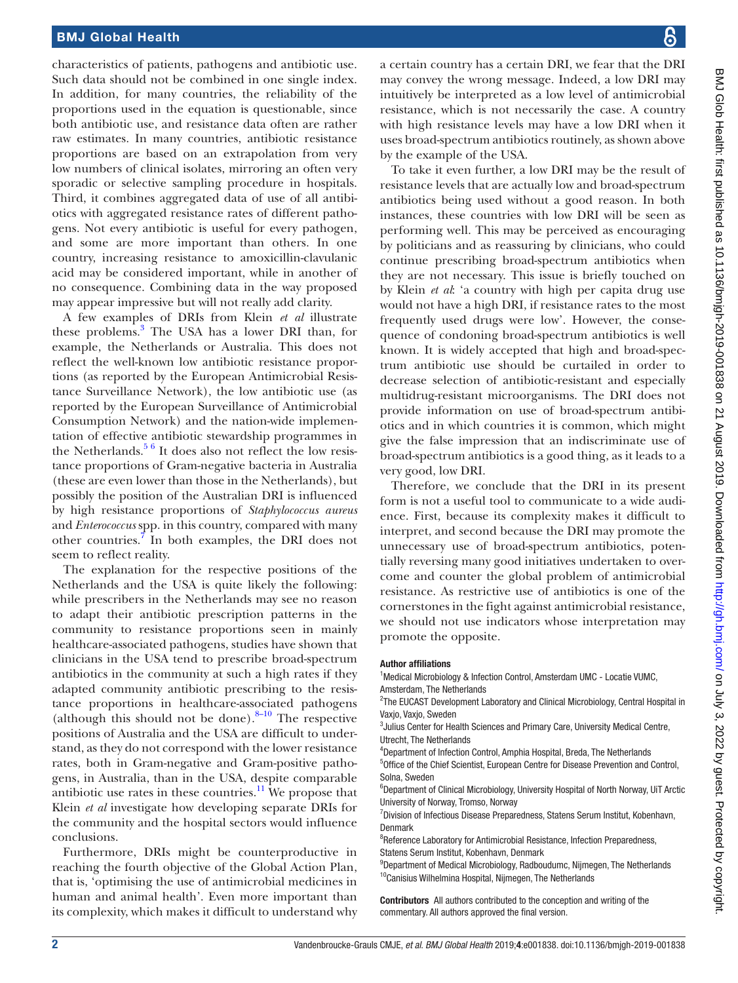# BMJ Global Health

characteristics of patients, pathogens and antibiotic use. Such data should not be combined in one single index. In addition, for many countries, the reliability of the proportions used in the equation is questionable, since both antibiotic use, and resistance data often are rather raw estimates. In many countries, antibiotic resistance proportions are based on an extrapolation from very low numbers of clinical isolates, mirroring an often very sporadic or selective sampling procedure in hospitals. Third, it combines aggregated data of use of all antibiotics with aggregated resistance rates of different pathogens. Not every antibiotic is useful for every pathogen, and some are more important than others. In one country, increasing resistance to amoxicillin-clavulanic acid may be considered important, while in another of no consequence. Combining data in the way proposed may appear impressive but will not really add clarity.

A few examples of DRIs from Klein *et al* illustrate these problems.<sup>3</sup> The USA has a lower DRI than, for example, the Netherlands or Australia. This does not reflect the well-known low antibiotic resistance proportions (as reported by the European Antimicrobial Resistance Surveillance Network), the low antibiotic use (as reported by the European Surveillance of Antimicrobial Consumption Network) and the nation-wide implementation of effective antibiotic stewardship programmes in the Netherlands.<sup>[5 6](#page-2-3)</sup> It does also not reflect the low resistance proportions of Gram-negative bacteria in Australia (these are even lower than those in the Netherlands), but possibly the position of the Australian DRI is influenced by high resistance proportions of *Staphylococcus aureus* and *Enterococcus* spp. in this country, compared with many other countries.<sup>7</sup> In both examples, the DRI does not seem to reflect reality.

The explanation for the respective positions of the Netherlands and the USA is quite likely the following: while prescribers in the Netherlands may see no reason to adapt their antibiotic prescription patterns in the community to resistance proportions seen in mainly healthcare-associated pathogens, studies have shown that clinicians in the USA tend to prescribe broad-spectrum antibiotics in the community at such a high rates if they adapted community antibiotic prescribing to the resistance proportions in healthcare-associated pathogens (although this should not be done). $8-10$  The respective positions of Australia and the USA are difficult to understand, as they do not correspond with the lower resistance rates, both in Gram-negative and Gram-positive pathogens, in Australia, than in the USA, despite comparable antibiotic use rates in these countries. $11$  We propose that Klein *et al* investigate how developing separate DRIs for the community and the hospital sectors would influence conclusions.

Furthermore, DRIs might be counterproductive in reaching the fourth objective of the Global Action Plan, that is, 'optimising the use of antimicrobial medicines in human and animal health'. Even more important than its complexity, which makes it difficult to understand why

a certain country has a certain DRI, we fear that the DRI may convey the wrong message. Indeed, a low DRI may intuitively be interpreted as a low level of antimicrobial resistance, which is not necessarily the case. A country with high resistance levels may have a low DRI when it uses broad-spectrum antibiotics routinely, as shown above by the example of the USA.

To take it even further, a low DRI may be the result of resistance levels that are actually low and broad-spectrum antibiotics being used without a good reason. In both instances, these countries with low DRI will be seen as performing well. This may be perceived as encouraging by politicians and as reassuring by clinicians, who could continue prescribing broad-spectrum antibiotics when they are not necessary. This issue is briefly touched on by Klein *et al*: 'a country with high per capita drug use would not have a high DRI, if resistance rates to the most frequently used drugs were low'. However, the consequence of condoning broad-spectrum antibiotics is well known. It is widely accepted that high and broad-spectrum antibiotic use should be curtailed in order to decrease selection of antibiotic-resistant and especially multidrug-resistant microorganisms. The DRI does not provide information on use of broad-spectrum antibiotics and in which countries it is common, which might give the false impression that an indiscriminate use of broad-spectrum antibiotics is a good thing, as it leads to a very good, low DRI.

Therefore, we conclude that the DRI in its present form is not a useful tool to communicate to a wide audience. First, because its complexity makes it difficult to interpret, and second because the DRI may promote the unnecessary use of broad-spectrum antibiotics, potentially reversing many good initiatives undertaken to overcome and counter the global problem of antimicrobial resistance. As restrictive use of antibiotics is one of the cornerstones in the fight against antimicrobial resistance, we should not use indicators whose interpretation may promote the opposite.

### Author affiliations

<sup>1</sup>Medical Microbiology & Infection Control, Amsterdam UMC - Locatie VUMC, Amsterdam, The Netherlands

<sup>2</sup>The EUCAST Development Laboratory and Clinical Microbiology, Central Hospital in Vaxjo, Vaxjo, Sweden

<sup>3</sup> Julius Center for Health Sciences and Primary Care, University Medical Centre, Utrecht, The Netherlands

- 4 Department of Infection Control, Amphia Hospital, Breda, The Netherlands
- 5 Office of the Chief Scientist, European Centre for Disease Prevention and Control, Solna, Sweden

<sup>6</sup>Department of Clinical Microbiology, University Hospital of North Norway, UiT Arctic University of Norway, Tromso, Norway

<sup>7</sup> Division of Infectious Disease Preparedness, Statens Serum Institut, Kobenhavn, Denmark

<sup>8</sup>Reference Laboratory for Antimicrobial Resistance, Infection Preparedness, Statens Serum Institut, Kobenhavn, Denmark

<sup>9</sup>Department of Medical Microbiology, Radboudumc, Nijmegen, The Netherlands <sup>10</sup>Canisius Wilhelmina Hospital, Nijmegen, The Netherlands

Contributors All authors contributed to the conception and writing of the commentary. All authors approved the final version.